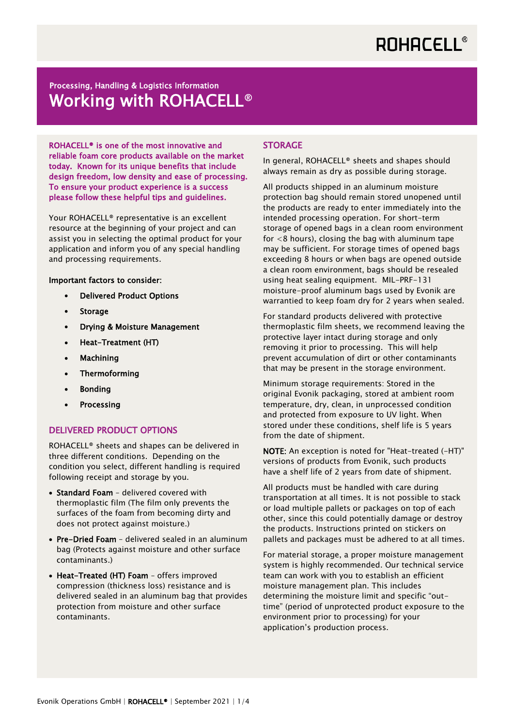## Processing, Handling & Logistics Information Working with ROHACELL<sup>®</sup>

ROHACELL® is one of the most innovative and reliable foam core products available on the market today. Known for its unique benefits that include design freedom, low density and ease of processing. To ensure your product experience is a success please follow these helpful tips and guidelines.

Your ROHACELL® representative is an excellent resource at the beginning of your project and can assist you in selecting the optimal product for your application and inform you of any special handling and processing requirements.

#### Important factors to consider:

- Delivered Product Options
- Storage
- Drying & Moisture Management
- Heat-Treatment (HT)
- Machining
- Thermoforming
- Bonding
- **Processing**

#### DELIVERED PRODUCT OPTIONS

ROHACELL® sheets and shapes can be delivered in three different conditions. Depending on the condition you select, different handling is required following receipt and storage by you.

- Standard Foam delivered covered with thermoplastic film (The film only prevents the surfaces of the foam from becoming dirty and does not protect against moisture.)
- Pre-Dried Foam delivered sealed in an aluminum bag (Protects against moisture and other surface contaminants.)
- Heat-Treated (HT) Foam offers improved compression (thickness loss) resistance and is delivered sealed in an aluminum bag that provides protection from moisture and other surface contaminants.

#### STORAGE

In general, ROHACELL® sheets and shapes should always remain as dry as possible during storage.

All products shipped in an aluminum moisture protection bag should remain stored unopened until the products are ready to enter immediately into the intended processing operation. For short-term storage of opened bags in a clean room environment for  $<$ 8 hours), closing the bag with aluminum tape may be sufficient. For storage times of opened bags exceeding 8 hours or when bags are opened outside a clean room environment, bags should be resealed using heat sealing equipment. MIL-PRF-131 moisture-proof aluminum bags used by Evonik are warrantied to keep foam dry for 2 years when sealed.

For standard products delivered with protective thermoplastic film sheets, we recommend leaving the protective layer intact during storage and only removing it prior to processing. This will help prevent accumulation of dirt or other contaminants that may be present in the storage environment.

Minimum storage requirements: Stored in the original Evonik packaging, stored at ambient room temperature, dry, clean, in unprocessed condition and protected from exposure to UV light. When stored under these conditions, shelf life is 5 years from the date of shipment.

NOTE: An exception is noted for "Heat-treated (-HT)" versions of products from Evonik, such products have a shelf life of 2 years from date of shipment.

All products must be handled with care during transportation at all times. It is not possible to stack or load multiple pallets or packages on top of each other, since this could potentially damage or destroy the products. Instructions printed on stickers on pallets and packages must be adhered to at all times.

For material storage, a proper moisture management system is highly recommended. Our technical service team can work with you to establish an efficient moisture management plan. This includes determining the moisture limit and specific "outtime" (period of unprotected product exposure to the environment prior to processing) for your application's production process.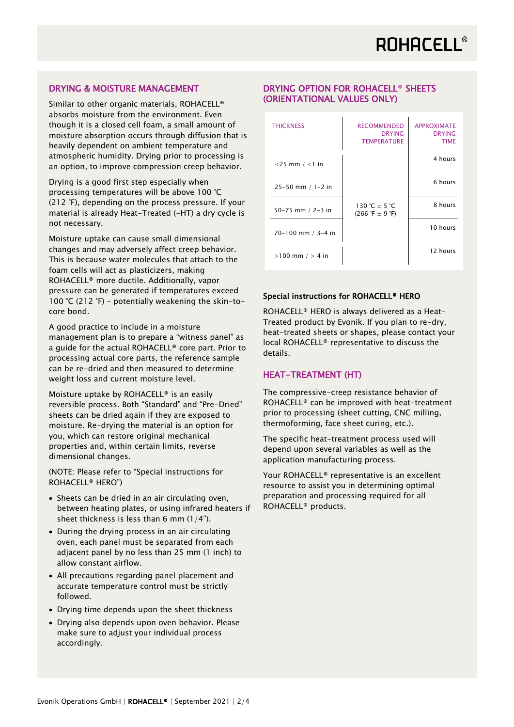#### DRYING & MOISTURE MANAGEMENT

Similar to other organic materials, ROHACELL<sup>®</sup> absorbs moisture from the environment. Even though it is a closed cell foam, a small amount of moisture absorption occurs through diffusion that is heavily dependent on ambient temperature and atmospheric humidity. Drying prior to processing is an option, to improve compression creep behavior.

Drying is a good first step especially when processing temperatures will be above 100 °C (212 °F), depending on the process pressure. If your material is already Heat-Treated (-HT) a dry cycle is not necessary.

Moisture uptake can cause small dimensional changes and may adversely affect creep behavior. This is because water molecules that attach to the foam cells will act as plasticizers, making ROHACELL® more ductile. Additionally, vapor pressure can be generated if temperatures exceed 100 °C (212 °F) – potentially weakening the skin-tocore bond.

A good practice to include in a moisture management plan is to prepare a "witness panel" as a guide for the actual ROHACELL® core part. Prior to processing actual core parts, the reference sample can be re-dried and then measured to determine weight loss and current moisture level.

Moisture uptake by ROHACELL® is an easily reversible process. Both "Standard" and "Pre-Dried" sheets can be dried again if they are exposed to moisture. Re-drying the material is an option for you, which can restore original mechanical properties and, within certain limits, reverse dimensional changes.

(NOTE: Please refer to "Special instructions for ROHACELL® HERO")

- Sheets can be dried in an air circulating oven, between heating plates, or using infrared heaters if sheet thickness is less than 6 mm  $(1/4")$ .
- During the drying process in an air circulating oven, each panel must be separated from each adjacent panel by no less than 25 mm (1 inch) to allow constant airflow.
- All precautions regarding panel placement and accurate temperature control must be strictly followed.
- Drying time depends upon the sheet thickness
- Drying also depends upon oven behavior. Please make sure to adjust your individual process accordingly.

### DRYING OPTION FOR ROHACELL® SHEETS (ORIENTATIONAL VALUES ONLY)

| <b>THICKNESS</b>     | <b>RECOMMENDED</b><br><b>DRYING</b><br><b>TEMPERATURE</b>          | <b>APPROXIMATE</b><br><b>DRYING</b><br><b>TIME</b> |
|----------------------|--------------------------------------------------------------------|----------------------------------------------------|
| $<$ 25 mm / $<$ 1 in |                                                                    | 4 hours                                            |
| 25-50 mm / 1-2 in    |                                                                    | 6 hours                                            |
| 50-75 mm / 2-3 in    | 130 °C + 5 °C<br>$(266 \text{ }^{\circ}F \pm 9 \text{ }^{\circ}F)$ | 8 hours                                            |
| 70-100 mm / 3-4 in   |                                                                    | 10 hours                                           |
| $>100$ mm $/ > 4$ in |                                                                    | 12 hours                                           |

#### Special instructions for ROHACELL® HERO

ROHACELL® HERO is always delivered as a Heat-Treated product by Evonik. If you plan to re-dry, heat-treated sheets or shapes, please contact your local ROHACELL® representative to discuss the details.

#### HEAT-TREATMENT (HT)

The compressive-creep resistance behavior of ROHACELL® can be improved with heat-treatment prior to processing (sheet cutting, CNC milling, thermoforming, face sheet curing, etc.).

The specific heat-treatment process used will depend upon several variables as well as the application manufacturing process.

Your ROHACELL® representative is an excellent resource to assist you in determining optimal preparation and processing required for all ROHACELL® products.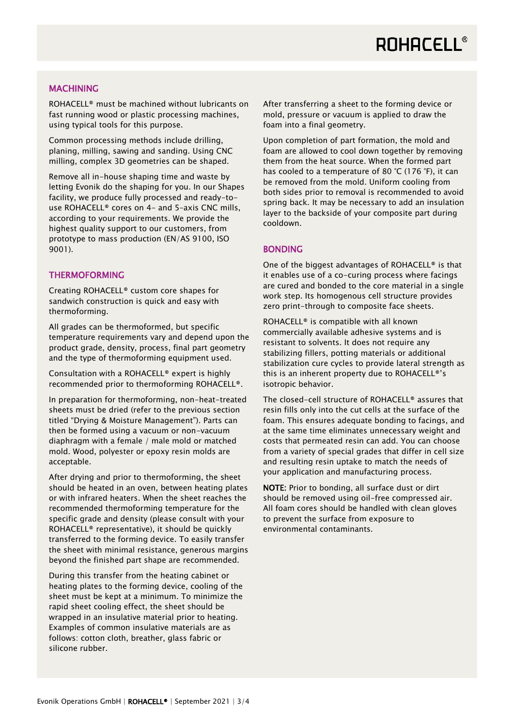#### **MACHINING**

ROHACELL<sup>®</sup> must be machined without lubricants on fast running wood or plastic processing machines, using typical tools for this purpose.

Common processing methods include drilling, planing, milling, sawing and sanding. Using CNC milling, complex 3D geometries can be shaped.

Remove all in-house shaping time and waste by letting Evonik do the shaping for you. In our Shapes facility, we produce fully processed and ready-touse ROHACELL® cores on 4- and 5–axis CNC mills, according to your requirements. We provide the highest quality support to our customers, from prototype to mass production (EN/AS 9100, ISO 9001).

#### THERMOFORMING

Creating ROHACELL® custom core shapes for sandwich construction is quick and easy with thermoforming.

All grades can be thermoformed, but specific temperature requirements vary and depend upon the product grade, density, process, final part geometry and the type of thermoforming equipment used.

Consultation with a ROHACELL® expert is highly recommended prior to thermoforming ROHACELL®.

In preparation for thermoforming, non-heat-treated sheets must be dried (refer to the previous section titled "Drying & Moisture Management"). Parts can then be formed using a vacuum or non-vacuum diaphragm with a female / male mold or matched mold. Wood, polyester or epoxy resin molds are acceptable.

After drying and prior to thermoforming, the sheet should be heated in an oven, between heating plates or with infrared heaters. When the sheet reaches the recommended thermoforming temperature for the specific grade and density (please consult with your ROHACELL® representative), it should be quickly transferred to the forming device. To easily transfer the sheet with minimal resistance, generous margins beyond the finished part shape are recommended.

During this transfer from the heating cabinet or heating plates to the forming device, cooling of the sheet must be kept at a minimum. To minimize the rapid sheet cooling effect, the sheet should be wrapped in an insulative material prior to heating. Examples of common insulative materials are as follows: cotton cloth, breather, glass fabric or silicone rubber.

After transferring a sheet to the forming device or mold, pressure or vacuum is applied to draw the foam into a final geometry.

Upon completion of part formation, the mold and foam are allowed to cool down together by removing them from the heat source. When the formed part has cooled to a temperature of 80 °C (176 °F), it can be removed from the mold. Uniform cooling from both sides prior to removal is recommended to avoid spring back. It may be necessary to add an insulation layer to the backside of your composite part during cooldown.

#### BONDING

One of the biggest advantages of ROHACELL® is that it enables use of a co-curing process where facings are cured and bonded to the core material in a single work step. Its homogenous cell structure provides zero print-through to composite face sheets.

ROHACELL® is compatible with all known commercially available adhesive systems and is resistant to solvents. It does not require any stabilizing fillers, potting materials or additional stabilization cure cycles to provide lateral strength as this is an inherent property due to ROHACELL®'s isotropic behavior.

The closed-cell structure of ROHACELL® assures that resin fills only into the cut cells at the surface of the foam. This ensures adequate bonding to facings, and at the same time eliminates unnecessary weight and costs that permeated resin can add. You can choose from a variety of special grades that differ in cell size and resulting resin uptake to match the needs of your application and manufacturing process.

NOTE: Prior to bonding, all surface dust or dirt should be removed using oil-free compressed air. All foam cores should be handled with clean gloves to prevent the surface from exposure to environmental contaminants.